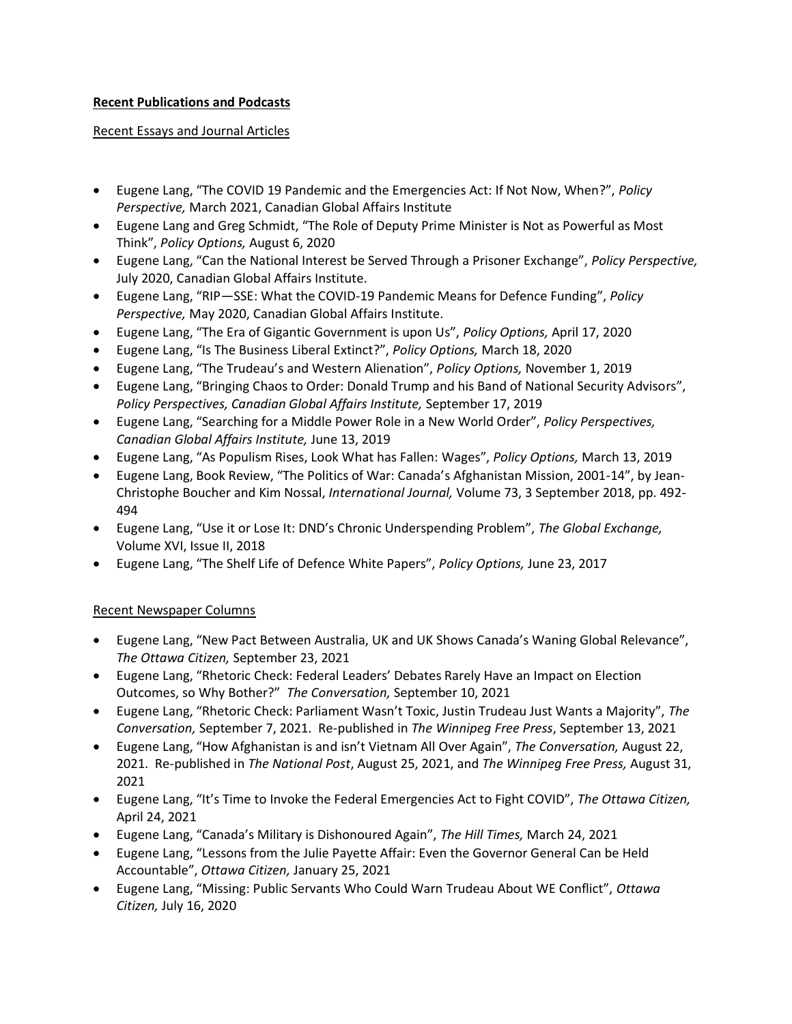### **Recent Publications and Podcasts**

#### Recent Essays and Journal Articles

- Eugene Lang, "The COVID 19 Pandemic and the Emergencies Act: If Not Now, When?", *Policy Perspective,* March 2021, Canadian Global Affairs Institute
- Eugene Lang and Greg Schmidt, "The Role of Deputy Prime Minister is Not as Powerful as Most Think", *Policy Options,* August 6, 2020
- Eugene Lang, "Can the National Interest be Served Through a Prisoner Exchange", *Policy Perspective,*  July 2020, Canadian Global Affairs Institute.
- Eugene Lang, "RIP—SSE: What the COVID-19 Pandemic Means for Defence Funding", *Policy Perspective,* May 2020, Canadian Global Affairs Institute.
- Eugene Lang, "The Era of Gigantic Government is upon Us", *Policy Options,* April 17, 2020
- Eugene Lang, "Is The Business Liberal Extinct?", *Policy Options,* March 18, 2020
- Eugene Lang, "The Trudeau's and Western Alienation", *Policy Options,* November 1, 2019
- Eugene Lang, "Bringing Chaos to Order: Donald Trump and his Band of National Security Advisors", *Policy Perspectives, Canadian Global Affairs Institute,* September 17, 2019
- Eugene Lang, "Searching for a Middle Power Role in a New World Order", *Policy Perspectives, Canadian Global Affairs Institute,* June 13, 2019
- Eugene Lang, "As Populism Rises, Look What has Fallen: Wages", *Policy Options,* March 13, 2019
- Eugene Lang, Book Review, "The Politics of War: Canada's Afghanistan Mission, 2001-14", by Jean-Christophe Boucher and Kim Nossal, *International Journal,* Volume 73, 3 September 2018, pp. 492- 494
- Eugene Lang, "Use it or Lose It: DND's Chronic Underspending Problem", *The Global Exchange,*  Volume XVI, Issue II, 2018
- Eugene Lang, "The Shelf Life of Defence White Papers", *Policy Options,* June 23, 2017

## Recent Newspaper Columns

- Eugene Lang, "New Pact Between Australia, UK and UK Shows Canada's Waning Global Relevance", *The Ottawa Citizen,* September 23, 2021
- Eugene Lang, "Rhetoric Check: Federal Leaders' Debates Rarely Have an Impact on Election Outcomes, so Why Bother?" *The Conversation,* September 10, 2021
- Eugene Lang, "Rhetoric Check: Parliament Wasn't Toxic, Justin Trudeau Just Wants a Majority", *The Conversation,* September 7, 2021. Re-published in *The Winnipeg Free Press*, September 13, 2021
- Eugene Lang, "How Afghanistan is and isn't Vietnam All Over Again", *The Conversation,* August 22, 2021. Re-published in *The National Post*, August 25, 2021, and *The Winnipeg Free Press,* August 31, 2021
- Eugene Lang, "It's Time to Invoke the Federal Emergencies Act to Fight COVID", *The Ottawa Citizen,*  April 24, 2021
- Eugene Lang, "Canada's Military is Dishonoured Again", *The Hill Times,* March 24, 2021
- Eugene Lang, "Lessons from the Julie Payette Affair: Even the Governor General Can be Held Accountable", *Ottawa Citizen,* January 25, 2021
- Eugene Lang, "Missing: Public Servants Who Could Warn Trudeau About WE Conflict", *Ottawa Citizen,* July 16, 2020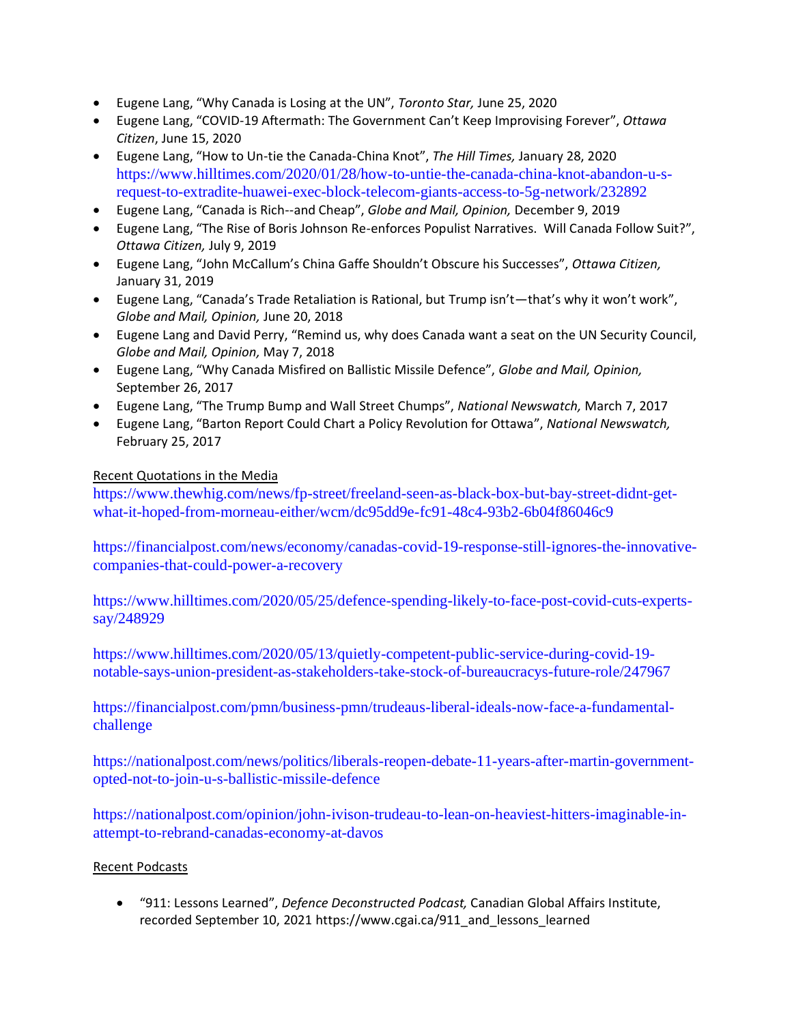- Eugene Lang, "Why Canada is Losing at the UN", *Toronto Star,* June 25, 2020
- Eugene Lang, "COVID-19 Aftermath: The Government Can't Keep Improvising Forever", *Ottawa Citizen*, June 15, 2020
- Eugene Lang, "How to Un-tie the Canada-China Knot", *The Hill Times,* January 28, 2020 [https://www.hilltimes.com/2020/01/28/how-to-untie-the-canada-china-knot-abandon-u-s](https://www.hilltimes.com/2020/01/28/how-to-untie-the-canada-china-knot-abandon-u-s-request-to-extradite-huawei-exec-block-telecom-giants-access-to-5g-network/232892)[request-to-extradite-huawei-exec-block-telecom-giants-access-to-5g-network/232892](https://www.hilltimes.com/2020/01/28/how-to-untie-the-canada-china-knot-abandon-u-s-request-to-extradite-huawei-exec-block-telecom-giants-access-to-5g-network/232892)
- Eugene Lang, "Canada is Rich--and Cheap", *Globe and Mail, Opinion,* December 9, 2019
- Eugene Lang, "The Rise of Boris Johnson Re-enforces Populist Narratives. Will Canada Follow Suit?", *Ottawa Citizen,* July 9, 2019
- Eugene Lang, "John McCallum's China Gaffe Shouldn't Obscure his Successes", *Ottawa Citizen,*  January 31, 2019
- Eugene Lang, "Canada's Trade Retaliation is Rational, but Trump isn't—that's why it won't work", *Globe and Mail, Opinion,* June 20, 2018
- Eugene Lang and David Perry, "Remind us, why does Canada want a seat on the UN Security Council, *Globe and Mail, Opinion,* May 7, 2018
- Eugene Lang, "Why Canada Misfired on Ballistic Missile Defence", *Globe and Mail, Opinion,*  September 26, 2017
- Eugene Lang, "The Trump Bump and Wall Street Chumps", *National Newswatch,* March 7, 2017
- Eugene Lang, "Barton Report Could Chart a Policy Revolution for Ottawa", *National Newswatch,*  February 25, 2017

### Recent Quotations in the Media

[https://www.thewhig.com/news/fp-street/freeland-seen-as-black-box-but-bay-street-didnt-get](https://www.thewhig.com/news/fp-street/freeland-seen-as-black-box-but-bay-street-didnt-get-what-it-hoped-from-morneau-either/wcm/dc95dd9e-fc91-48c4-93b2-6b04f86046c9)[what-it-hoped-from-morneau-either/wcm/dc95dd9e-fc91-48c4-93b2-6b04f86046c9](https://www.thewhig.com/news/fp-street/freeland-seen-as-black-box-but-bay-street-didnt-get-what-it-hoped-from-morneau-either/wcm/dc95dd9e-fc91-48c4-93b2-6b04f86046c9)

[https://financialpost.com/news/economy/canadas-covid-19-response-still-ignores-the-innovative](https://financialpost.com/news/economy/canadas-covid-19-response-still-ignores-the-innovative-companies-that-could-power-a-recovery)[companies-that-could-power-a-recovery](https://financialpost.com/news/economy/canadas-covid-19-response-still-ignores-the-innovative-companies-that-could-power-a-recovery)

[https://www.hilltimes.com/2020/05/25/defence-spending-likely-to-face-post-covid-cuts-experts](https://www.hilltimes.com/2020/05/25/defence-spending-likely-to-face-post-covid-cuts-experts-say/248929)[say/248929](https://www.hilltimes.com/2020/05/25/defence-spending-likely-to-face-post-covid-cuts-experts-say/248929)

[https://www.hilltimes.com/2020/05/13/quietly-competent-public-service-during-covid-19](https://www.hilltimes.com/2020/05/13/quietly-competent-public-service-during-covid-19-notable-says-union-president-as-stakeholders-take-stock-of-bureaucracys-future-role/247967) [notable-says-union-president-as-stakeholders-take-stock-of-bureaucracys-future-role/247967](https://www.hilltimes.com/2020/05/13/quietly-competent-public-service-during-covid-19-notable-says-union-president-as-stakeholders-take-stock-of-bureaucracys-future-role/247967)

[https://financialpost.com/pmn/business-pmn/trudeaus-liberal-ideals-now-face-a-fundamental](https://financialpost.com/pmn/business-pmn/trudeaus-liberal-ideals-now-face-a-fundamental-challenge)[challenge](https://financialpost.com/pmn/business-pmn/trudeaus-liberal-ideals-now-face-a-fundamental-challenge)

[https://nationalpost.com/news/politics/liberals-reopen-debate-11-years-after-martin-government](https://nationalpost.com/news/politics/liberals-reopen-debate-11-years-after-martin-government-opted-not-to-join-u-s-ballistic-missile-defence)[opted-not-to-join-u-s-ballistic-missile-defence](https://nationalpost.com/news/politics/liberals-reopen-debate-11-years-after-martin-government-opted-not-to-join-u-s-ballistic-missile-defence)

[https://nationalpost.com/opinion/john-ivison-trudeau-to-lean-on-heaviest-hitters-imaginable-in](https://nationalpost.com/opinion/john-ivison-trudeau-to-lean-on-heaviest-hitters-imaginable-in-attempt-to-rebrand-canadas-economy-at-davos)[attempt-to-rebrand-canadas-economy-at-davos](https://nationalpost.com/opinion/john-ivison-trudeau-to-lean-on-heaviest-hitters-imaginable-in-attempt-to-rebrand-canadas-economy-at-davos)

#### Recent Podcasts

• "911: Lessons Learned", *Defence Deconstructed Podcast,* Canadian Global Affairs Institute, recorded September 10, 2021 https://www.cgai.ca/911\_and\_lessons\_learned